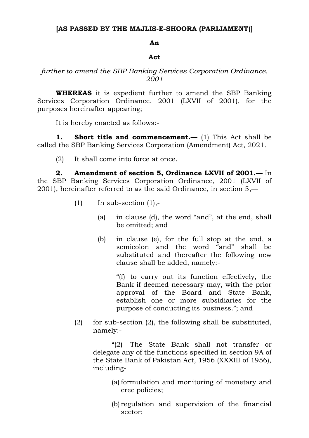## **[AS PASSED BY THE MAJLIS-E-SHOORA (PARLIAMENT)]**

## **An**

## **Act**

## *further to amend the SBP Banking Services Corporation Ordinance, 2001*

**WHEREAS** it is expedient further to amend the SBP Banking Services Corporation Ordinance, 2001 (LXVII of 2001), for the purposes hereinafter appearing;

It is hereby enacted as follows:-

**1. Short title and commencement.—** (1) This Act shall be called the SBP Banking Services Corporation (Amendment) Act, 2021.

(2) It shall come into force at once.

**2. Amendment of section 5, Ordinance LXVII of 2001.—** In the SBP Banking Services Corporation Ordinance, 2001 (LXVII of 2001), hereinafter referred to as the said Ordinance, in section 5,—

- $(1)$  In sub-section  $(1),$ -
	- (a) in clause (d), the word "and", at the end, shall be omitted; and
	- (b) in clause (e), for the full stop at the end, a semicolon and the word "and" shall be substituted and thereafter the following new clause shall be added, namely:-

"(f) to carry out its function effectively, the Bank if deemed necessary may, with the prior approval of the Board and State Bank, establish one or more subsidiaries for the purpose of conducting its business."; and

(2) for sub-section (2), the following shall be substituted, namely:-

"(2) The State Bank shall not transfer or delegate any of the functions specified in section 9A of the State Bank of Pakistan Act, 1956 (XXXIII of 1956), including-

- (a) formulation and monitoring of monetary and crec policies;
- (b) regulation and supervision of the financial sector;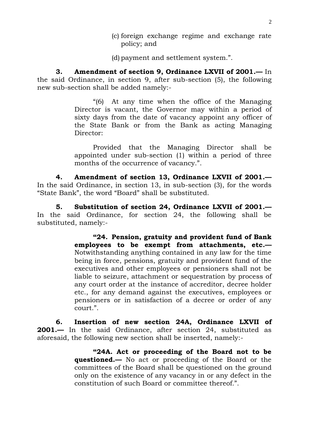- (c) foreign exchange regime and exchange rate policy; and
- (d) payment and settlement system.".

**3. Amendment of section 9, Ordinance LXVII of 2001.—** In the said Ordinance, in section 9, after sub-section (5), the following new sub-section shall be added namely:-

> "(6) At any time when the office of the Managing Director is vacant, the Governor may within a period of sixty days from the date of vacancy appoint any officer of the State Bank or from the Bank as acting Managing Director:

> Provided that the Managing Director shall be appointed under sub-section (1) within a period of three months of the occurrence of vacancy.".

**4. Amendment of section 13, Ordinance LXVII of 2001.—** In the said Ordinance, in section 13, in sub-section (3), for the words "State Bank", the word "Board" shall be substituted.

**5. Substitution of section 24, Ordinance LXVII of 2001.—** In the said Ordinance, for section 24, the following shall be substituted, namely:-

> **"24. Pension, gratuity and provident fund of Bank employees to be exempt from attachments, etc.—** Notwithstanding anything contained in any law for the time being in force, pensions, gratuity and provident fund of the executives and other employees or pensioners shall not be liable to seizure, attachment or sequestration by process of any court order at the instance of accreditor, decree holder etc., for any demand against the executives, employees or pensioners or in satisfaction of a decree or order of any court.".

**6. Insertion of new section 24A, Ordinance LXVII of 2001.—** In the said Ordinance, after section 24, substituted as aforesaid, the following new section shall be inserted, namely:-

> **"24A. Act or proceeding of the Board not to be questioned.—** No act or proceeding of the Board or the committees of the Board shall be questioned on the ground only on the existence of any vacancy in or any defect in the constitution of such Board or committee thereof.".